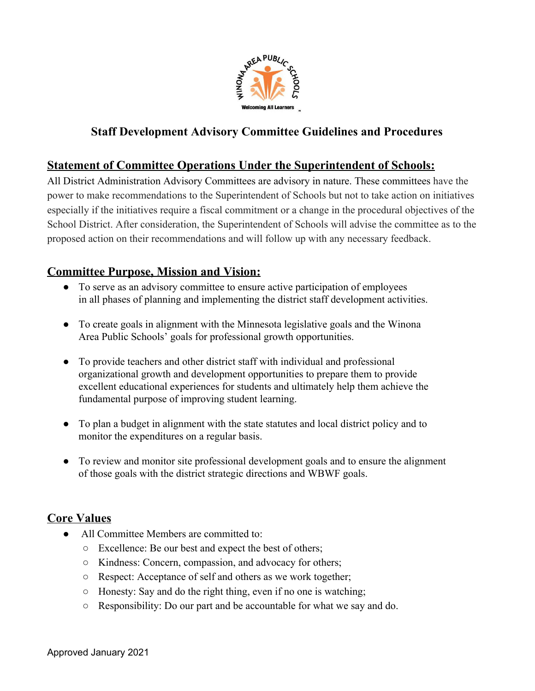

# **Staff Development Advisory Committee Guidelines and Procedures**

## **Statement of Committee Operations Under the Superintendent of Schools:**

All District Administration Advisory Committees are advisory in nature. These committees have the power to make recommendations to the Superintendent of Schools but not to take action on initiatives especially if the initiatives require a fiscal commitment or a change in the procedural objectives of the School District. After consideration, the Superintendent of Schools will advise the committee as to the proposed action on their recommendations and will follow up with any necessary feedback.

## **Committee Purpose, Mission and Vision:**

- To serve as an advisory committee to ensure active participation of employees in all phases of planning and implementing the district staff development activities.
- To create goals in alignment with the Minnesota legislative goals and the Winona Area Public Schools' goals for professional growth opportunities.
- To provide teachers and other district staff with individual and professional organizational growth and development opportunities to prepare them to provide excellent educational experiences for students and ultimately help them achieve the fundamental purpose of improving student learning.
- To plan a budget in alignment with the state statutes and local district policy and to monitor the expenditures on a regular basis.
- To review and monitor site professional development goals and to ensure the alignment of those goals with the district strategic directions and WBWF goals.

## **Core Values**

- All Committee Members are committed to:
	- Excellence: Be our best and expect the best of others;
	- Kindness: Concern, compassion, and advocacy for others;
	- Respect: Acceptance of self and others as we work together;
	- Honesty: Say and do the right thing, even if no one is watching;
	- Responsibility: Do our part and be accountable for what we say and do.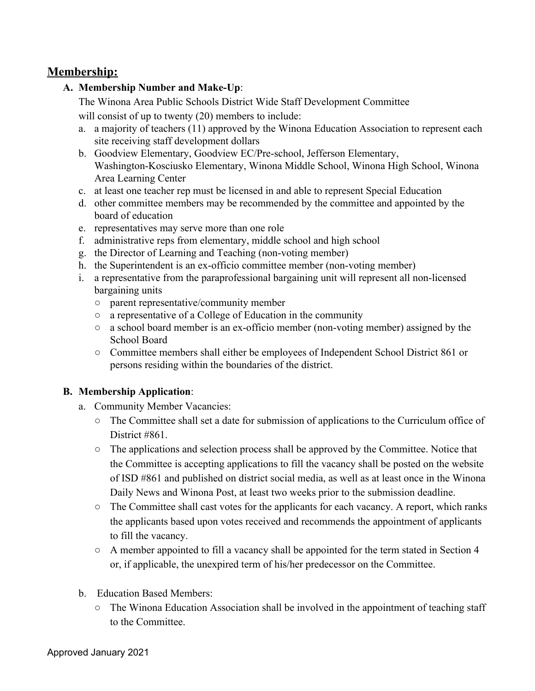## **Membership:**

### **A. Membership Number and Make-Up**:

The Winona Area Public Schools District Wide Staff Development Committee

will consist of up to twenty (20) members to include:

- a. a majority of teachers (11) approved by the Winona Education Association to represent each site receiving staff development dollars
- b. Goodview Elementary, Goodview EC/Pre-school, Jefferson Elementary, Washington-Kosciusko Elementary, Winona Middle School, Winona High School, Winona Area Learning Center
- c. at least one teacher rep must be licensed in and able to represent Special Education
- d. other committee members may be recommended by the committee and appointed by the board of education
- e. representatives may serve more than one role
- f. administrative reps from elementary, middle school and high school
- g. the Director of Learning and Teaching (non-voting member)
- h. the Superintendent is an ex-officio committee member (non-voting member)
- i. a representative from the paraprofessional bargaining unit will represent all non-licensed bargaining units
	- parent representative/community member
	- a representative of a College of Education in the community
	- a school board member is an ex-officio member (non-voting member) assigned by the School Board
	- Committee members shall either be employees of Independent School District 861 or persons residing within the boundaries of the district.

## **B. Membership Application**:

- a. Community Member Vacancies:
	- The Committee shall set a date for submission of applications to the Curriculum office of District #861.
	- The applications and selection process shall be approved by the Committee. Notice that the Committee is accepting applications to fill the vacancy shall be posted on the website of ISD #861 and published on district social media, as well as at least once in the Winona Daily News and Winona Post, at least two weeks prior to the submission deadline.
	- The Committee shall cast votes for the applicants for each vacancy. A report, which ranks the applicants based upon votes received and recommends the appointment of applicants to fill the vacancy.
	- A member appointed to fill a vacancy shall be appointed for the term stated in Section 4 or, if applicable, the unexpired term of his/her predecessor on the Committee.
- b. Education Based Members:
	- The Winona Education Association shall be involved in the appointment of teaching staff to the Committee.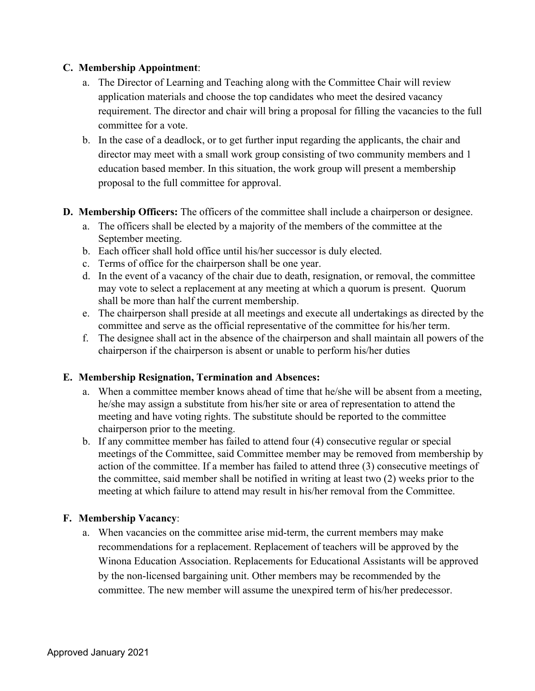#### **C. Membership Appointment**:

- a. The Director of Learning and Teaching along with the Committee Chair will review application materials and choose the top candidates who meet the desired vacancy requirement. The director and chair will bring a proposal for filling the vacancies to the full committee for a vote.
- b. In the case of a deadlock, or to get further input regarding the applicants, the chair and director may meet with a small work group consisting of two community members and 1 education based member. In this situation, the work group will present a membership proposal to the full committee for approval.
- **D. Membership Officers:** The officers of the committee shall include a chairperson or designee.
	- a. The officers shall be elected by a majority of the members of the committee at the September meeting.
	- b. Each officer shall hold office until his/her successor is duly elected.
	- c. Terms of office for the chairperson shall be one year.
	- d. In the event of a vacancy of the chair due to death, resignation, or removal, the committee may vote to select a replacement at any meeting at which a quorum is present. Quorum shall be more than half the current membership.
	- e. The chairperson shall preside at all meetings and execute all undertakings as directed by the committee and serve as the official representative of the committee for his/her term.
	- f. The designee shall act in the absence of the chairperson and shall maintain all powers of the chairperson if the chairperson is absent or unable to perform his/her duties

#### **E. Membership Resignation, Termination and Absences:**

- a. When a committee member knows ahead of time that he/she will be absent from a meeting, he/she may assign a substitute from his/her site or area of representation to attend the meeting and have voting rights. The substitute should be reported to the committee chairperson prior to the meeting.
- b. If any committee member has failed to attend four (4) consecutive regular or special meetings of the Committee, said Committee member may be removed from membership by action of the committee. If a member has failed to attend three (3) consecutive meetings of the committee, said member shall be notified in writing at least two (2) weeks prior to the meeting at which failure to attend may result in his/her removal from the Committee.

#### **F. Membership Vacancy**:

a. When vacancies on the committee arise mid-term, the current members may make recommendations for a replacement. Replacement of teachers will be approved by the Winona Education Association. Replacements for Educational Assistants will be approved by the non-licensed bargaining unit. Other members may be recommended by the committee. The new member will assume the unexpired term of his/her predecessor.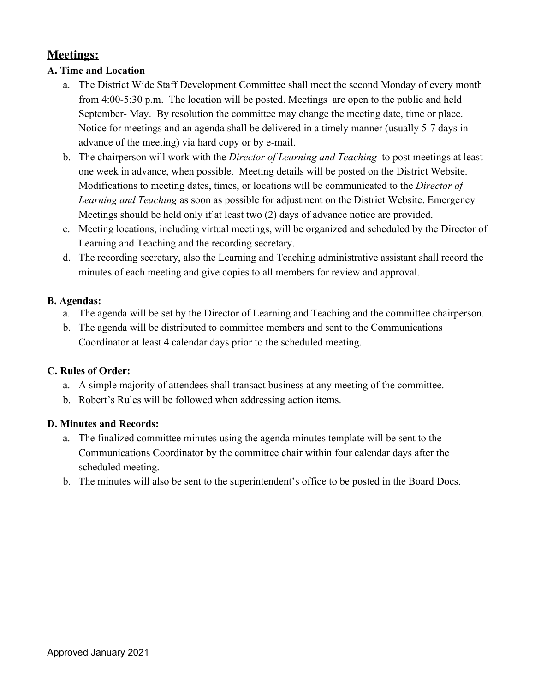# **Meetings:**

### **A. Time and Location**

- a. The District Wide Staff Development Committee shall meet the second Monday of every month from 4:00-5:30 p.m. The location will be posted. Meetings are open to the public and held September- May. By resolution the committee may change the meeting date, time or place. Notice for meetings and an agenda shall be delivered in a timely manner (usually 5-7 days in advance of the meeting) via hard copy or by e-mail.
- b. The chairperson will work with the *Director of Learning and Teaching* to post meetings at least one week in advance, when possible. Meeting details will be posted on the District Website. Modifications to meeting dates, times, or locations will be communicated to the *Director of Learning and Teaching* as soon as possible for adjustment on the District Website. Emergency Meetings should be held only if at least two (2) days of advance notice are provided.
- c. Meeting locations, including virtual meetings, will be organized and scheduled by the Director of Learning and Teaching and the recording secretary.
- d. The recording secretary, also the Learning and Teaching administrative assistant shall record the minutes of each meeting and give copies to all members for review and approval.

#### **B. Agendas:**

- a. The agenda will be set by the Director of Learning and Teaching and the committee chairperson.
- b. The agenda will be distributed to committee members and sent to the Communications Coordinator at least 4 calendar days prior to the scheduled meeting.

#### **C. Rules of Order:**

- a. A simple majority of attendees shall transact business at any meeting of the committee.
- b. Robert's Rules will be followed when addressing action items.

#### **D. Minutes and Records:**

- a. The finalized committee minutes using the agenda minutes template will be sent to the Communications Coordinator by the committee chair within four calendar days after the scheduled meeting.
- b. The minutes will also be sent to the superintendent's office to be posted in the Board Docs.